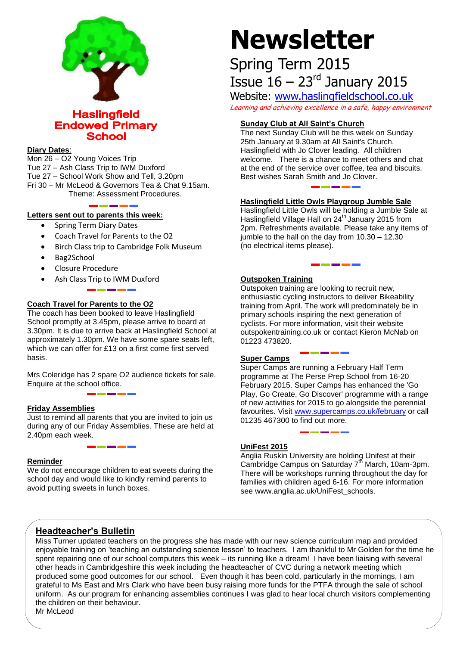

**Haslingfield Endowed Primary School** 

#### **Diary Dates**:

Mon 26 – O2 Young Voices Trip Tue 27 – Ash Class Trip to IWM Duxford Tue 27 – School Work Show and Tell, 3.20pm Fri 30 – Mr McLeod & Governors Tea & Chat 9.15am. Theme: Assessment Procedures.

#### **Letters sent out to parents this week:**

- Spring Term Diary Dates
- Coach Travel for Parents to the O2
- Birch Class trip to Cambridge Folk Museum
- Bag2School
- Closure Procedure
- Ash Class Trip to IWM Duxford

#### **Coach Travel for Parents to the O2**

The coach has been booked to leave Haslingfield School promptly at 3.45pm, please arrive to board at 3.30pm. It is due to arrive back at Haslingfield School at approximately 1.30pm. We have some spare seats left, which we can offer for £13 on a first come first served basis.

Mrs Coleridge has 2 spare O2 audience tickets for sale. Enquire at the school office.

#### **Friday Assemblies**

Just to remind all parents that you are invited to join us during any of our Friday Assemblies. These are held at 2.40pm each week.

#### **Reminder**

We do not encourage children to eat sweets during the school day and would like to kindly remind parents to avoid putting sweets in lunch boxes.

# **Newsletter**

## Spring Term 2015 Issue  $16 - 23$ <sup>rd</sup> January 2015

Website: [www.haslingfieldschool.co.uk](http://www.haslingfieldschool.co.uk/) Learning and achieving excellence in a safe, happy environment

#### **Sunday Club at All Saint's Church**

The next Sunday Club will be this week on Sunday 25th January at 9.30am at All Saint's Church, Haslingfield with Jo Clover leading. All children welcome. There is a chance to meet others and chat at the end of the service over coffee, tea and biscuits. Best wishes Sarah Smith and Jo Clover.

#### **Haslingfield Little Owls Playgroup Jumble Sale**

Haslingfield Little Owls will be holding a Jumble Sale at Haslingfield Village Hall on 24<sup>th</sup> January 2015 from 2pm. Refreshments available. Please take any items of jumble to the hall on the day from 10.30 – 12.30 (no electrical items please).

#### **Outspoken Training**

Outspoken training are looking to recruit new, enthusiastic cycling instructors to deliver Bikeability training from April. The work will predominately be in primary schools inspiring the next generation of cyclists. For more information, visit their website outspokentraining.co.uk or contact Kieron McNab on 01223 473820.

#### **Super Camps**

Super Camps are running a February Half Term programme at The Perse Prep School from 16-20 February 2015. Super Camps has enhanced the 'Go Play, Go Create, Go Discover' programme with a range of new activities for 2015 to go alongside the perennial favourites. Visit [www.supercamps.co.uk/february](http://www.supercamps.co.uk/february) or call 01235 467300 to find out more.

#### **UniFest 2015**

Anglia Ruskin University are holding Unifest at their Cambridge Campus on Saturday 7<sup>th</sup> March, 10am-3pm. There will be workshops running throughout the day for families with children aged 6-16. For more information see www.anglia.ac.uk/UniFest\_schools.

### **Headteacher's Bulletin**

Miss Turner updated teachers on the progress she has made with our new science curriculum map and provided enjoyable training on 'teaching an outstanding science lesson' to teachers. I am thankful to Mr Golden for the time he spent repairing one of our school computers this week – its running like a dream! I have been liaising with several other heads in Cambridgeshire this week including the headteacher of CVC during a network meeting which produced some good outcomes for our school. Even though it has been cold, particularly in the mornings, I am grateful to Ms East and Mrs Clark who have been busy raising more funds for the PTFA through the sale of school uniform. As our program for enhancing assemblies continues I was glad to hear local church visitors complementing the children on their behaviour.

Mr McLeod